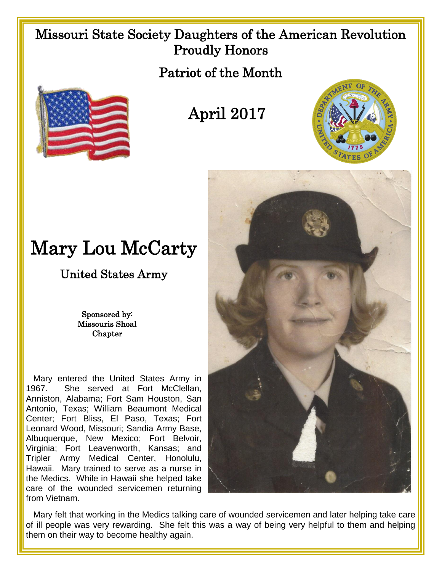## Missouri State Society Daughters of the American Revolution Proudly Honors

Patriot of the Month



April 2017



## Mary Lou McCarty

United States Army

Sponsored by: Missouris Shoal **Chapter** 

 Mary entered the United States Army in 1967. She served at Fort McClellan, Anniston, Alabama; Fort Sam Houston, San Antonio, Texas; William Beaumont Medical Center; Fort Bliss, El Paso, Texas; Fort Leonard Wood, Missouri; Sandia Army Base, Albuquerque, New Mexico; Fort Belvoir, Virginia; Fort Leavenworth, Kansas; and Tripler Army Medical Center, Honolulu, Hawaii. Mary trained to serve as a nurse in the Medics. While in Hawaii she helped take care of the wounded servicemen returning from Vietnam.



 Mary felt that working in the Medics talking care of wounded servicemen and later helping take care of ill people was very rewarding. She felt this was a way of being very helpful to them and helping them on their way to become healthy again.